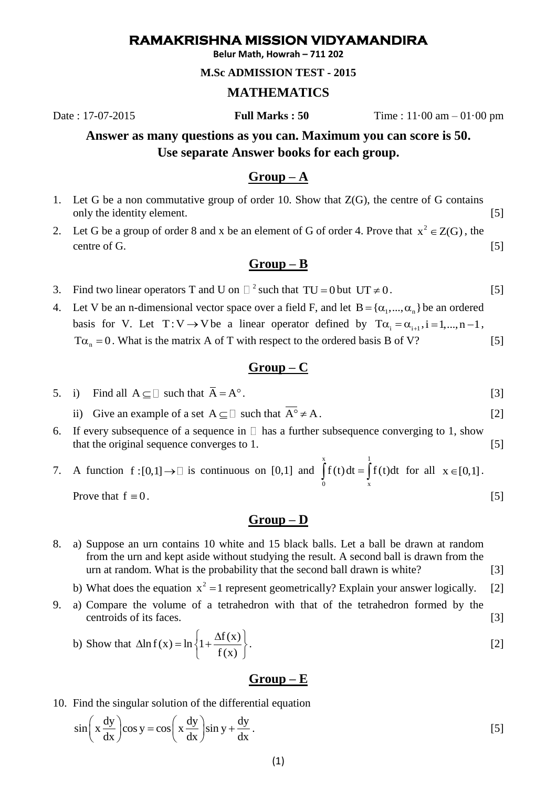# **RAMAKRISHNA MISSION VIDYAMANDIRA**

**Belur Math, Howrah – 711 202**

#### **M.Sc ADMISSION TEST - 2015**

#### **MATHEMATICS**

Date : 17-07-2015 **Full Marks : 50** Time : 11·00 am – 01·00 pm

# **Answer as many questions as you can. Maximum you can score is 50. Use separate Answer books for each group.**

#### **Group – A**

- 1. Let G be a non commutative group of order 10. Show that Z(G), the centre of G contains only the identity element. [5]
- 2. Let G be a group of order 8 and x be an element of G of order 4. Prove that  $x^2 \in Z(G)$ , the centre of G. [5]

# **Group – B**

- 3. Find two linear operators T and U on  $\Box$  <sup>2</sup> such that TU = 0 but UT  $\neq$  0. [5]
- 4. Let V be an n-dimensional vector space over a field F, and let  $B = {\alpha_1, ..., \alpha_n}$  be an ordered basis for V. Let  $T: V \to V$  be a linear operator defined by  $T\alpha_i = \alpha_{i+1}, i = 1, ..., n-1$ ,  $T\alpha_n = 0$ . What is the matrix A of T with respect to the ordered basis B of V? [5]

# **Group – C**

- 5. i) Find all  $A \subseteq \Box$  such that  $\overline{A} = A^{\circ}$ . [3]
	- ii) Give an example of a set  $A \subseteq \Box$  such that  $A^{\circ} \neq A$ . [2]
- 6. If every subsequence of a sequence in  $\Box$  has a further subsequence converging to 1, show that the original sequence converges to 1. [5]

#### 7. A function  $f:[0,1] \to \Box$  is continuous on [0,1] and  $x \qquad \qquad 1$  $\int_{0}^{x} f(t) dt = \int_{x}^{x} f(t) dt$  for all  $x \in [0,1]$ . Prove that  $f \equiv 0$ .  $f \equiv 0$ . [5]

**Group – D**

- 8. a) Suppose an urn contains 10 white and 15 black balls. Let a ball be drawn at random from the urn and kept aside without studying the result. A second ball is drawn from the urn at random. What is the probability that the second ball drawn is white? [3]
	- b) What does the equation  $x^2 = 1$  represent geometrically? Explain your answer logically. [2]
- 9. a) Compare the volume of a tetrahedron with that of the tetrahedron formed by the centroids of its faces. [3]

b) Show that 
$$
\Delta \ln f(x) = \ln \left\{ 1 + \frac{\Delta f(x)}{f(x)} \right\}
$$
. [2]

### **Group – E**

10. Find the singular solution of the differential equation  
\n
$$
\sin\left(x\frac{dy}{dx}\right)\cos y = \cos\left(x\frac{dy}{dx}\right)\sin y + \frac{dy}{dx}.
$$
\n[5]